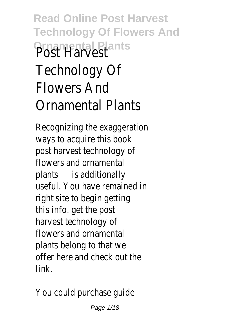## **Read Online Post Harvest Technology Of Flowers And Ornamental Plants** Post Harvest Technology Of Flowers And Ornamental Plants

Recognizing the exaggeration ways to acquire this book post harvest technology of flowers and ornamental plants is additionally useful. You have remained in right site to begin getting this info. get the post harvest technology of flowers and ornamental plants belong to that we offer here and check out the link.

You could purchase guide

Page 1/18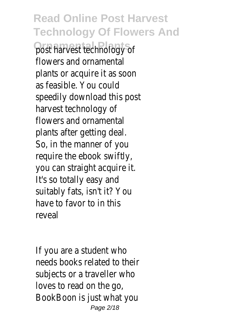**Read Online Post Harvest Technology Of Flowers And Ornamental Plants** post harvest technology of flowers and ornamental plants or acquire it as soon as feasible. You could speedily download this post harvest technology of flowers and ornamental plants after getting deal. So, in the manner of you require the ebook swiftly, you can straight acquire it. It's so totally easy and suitably fats, isn't it? You have to favor to in this reveal

If you are a student who needs books related to their subjects or a traveller who loves to read on the go, BookBoon is just what you Page 2/18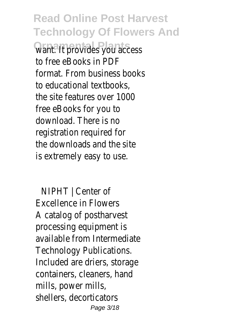**Read Online Post Harvest Technology Of Flowers And Ornamental Plants** want. It provides you access to free eBooks in PDF format. From business books to educational textbooks, the site features over 1000 free eBooks for you to download. There is no registration required for the downloads and the site is extremely easy to use.

NIPHT | Center of Excellence in Flowers A catalog of postharvest processing equipment is available from Intermediate Technology Publications. Included are driers, storage containers, cleaners, hand mills, power mills, shellers, decorticators Page 3/18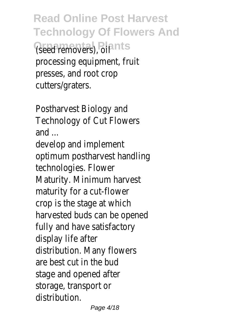**Read Online Post Harvest Technology Of Flowers And Ornamental Plants** (seed removers), oil processing equipment, fruit presses, and root crop cutters/graters.

Postharvest Biology and Technology of Cut Flowers and ...

develop and implement optimum postharvest handling technologies. Flower Maturity. Minimum harvest maturity for a cut-flower crop is the stage at which harvested buds can be opened fully and have satisfactory display life after distribution. Many flowers are best cut in the bud stage and opened after storage, transport or distribution.

Page 4/18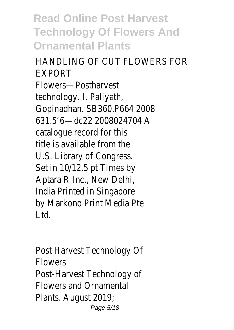**Read Online Post Harvest Technology Of Flowers And Ornamental Plants**

HANDLING OF CUT FLOWERS FOR EXPORT Flowers—Postharvest technology. I. Paliyath, Gopinadhan. SB360.P664 2008 631.5'6—dc22 2008024704 A catalogue record for this title is available from the U.S. Library of Congress. Set in 10/12.5 pt Times by Aptara R Inc., New Delhi, India Printed in Singapore by Markono Print Media Pte Ltd.

Post Harvest Technology Of Flowers Post-Harvest Technology of Flowers and Ornamental Plants. August 2019; Page 5/18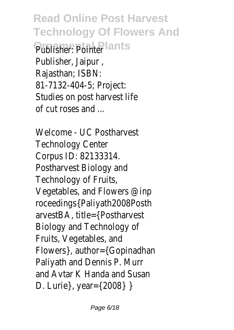**Read Online Post Harvest Technology Of Flowers And Ornamental Plants** Publisher: Pointer Publisher, Jaipur , Rajasthan; ISBN: 81-7132-404-5; Project: Studies on post harvest life of cut roses and ...

Welcome - UC Postharvest Technology Center Corpus ID: 82133314. Postharvest Biology and Technology of Fruits, Vegetables, and Flowers @inp roceedings{Paliyath2008Posth arvestBA, title={Postharvest Biology and Technology of Fruits, Vegetables, and Flowers}, author={Gopinadhan Paliyath and Dennis P. Murr and Avtar K Handa and Susan D. Lurie}, year={2008} }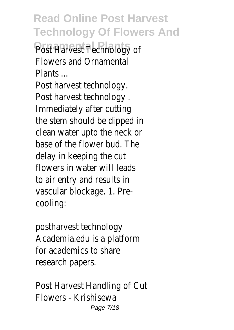**Read Online Post Harvest Technology Of Flowers And** Post Harvest Technology of Flowers and Ornamental Plants ...

Post harvest technology. Post harvest technology . Immediately after cutting the stem should be dipped in clean water upto the neck or base of the flower bud. The delay in keeping the cut flowers in water will leads to air entry and results in vascular blockage. 1. Precooling:

postharvest technology Academia.edu is a platform for academics to share research papers.

Post Harvest Handling of Cut Flowers - Krishisewa Page 7/18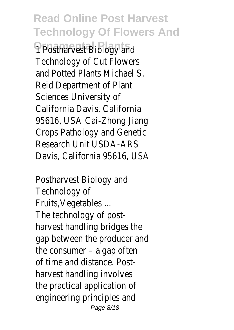**Read Online Post Harvest Technology Of Flowers And Postharvest Biology and** Technology of Cut Flowers and Potted Plants Michael S. Reid Department of Plant Sciences University of California Davis, California 95616, USA Cai-Zhong Jiang Crops Pathology and Genetic Research Unit USDA-ARS Davis, California 95616, USA

Postharvest Biology and Technology of Fruits,Vegetables ... The technology of postharvest handling bridges the gap between the producer and the consumer – a gap often of time and distance. Postharvest handling involves the practical application of engineering principles and Page 8/18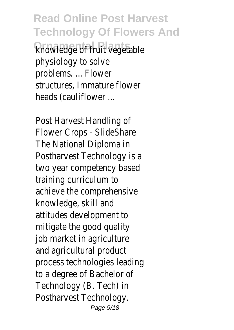**Read Online Post Harvest Technology Of Flowers And Ornamental Plants** knowledge of fruit vegetable physiology to solve problems. ... Flower structures, Immature flower heads (cauliflower ...

Post Harvest Handling of Flower Crops - SlideShare The National Diploma in Postharvest Technology is a two year competency based training curriculum to achieve the comprehensive knowledge, skill and attitudes development to mitigate the good quality job market in agriculture and agricultural product process technologies leading to a degree of Bachelor of Technology (B. Tech) in Postharvest Technology. Page 9/18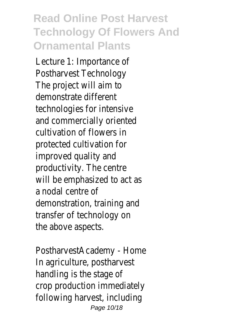## **Read Online Post Harvest Technology Of Flowers And Ornamental Plants**

Lecture 1: Importance of Postharvest Technology The project will aim to demonstrate different technologies for intensive and commercially oriented cultivation of flowers in protected cultivation for improved quality and productivity. The centre will be emphasized to act as a nodal centre of demonstration, training and transfer of technology on the above aspects.

PostharvestAcademy - Home In agriculture, postharvest handling is the stage of crop production immediately following harvest, including Page 10/18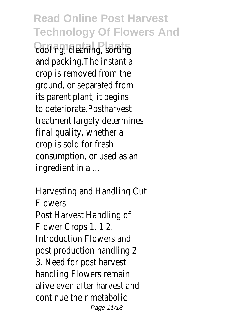**Read Online Post Harvest Technology Of Flowers And Cooling, cleaning, sorting** and packing.The instant a crop is removed from the ground, or separated from its parent plant, it begins to deteriorate.Postharvest treatment largely determines final quality, whether a crop is sold for fresh consumption, or used as an ingredient in a ...

Harvesting and Handling Cut Flowers Post Harvest Handling of Flower Crops 1. 1 2. Introduction Flowers and post production handling 2 3. Need for post harvest handling Flowers remain alive even after harvest and continue their metabolic Page 11/18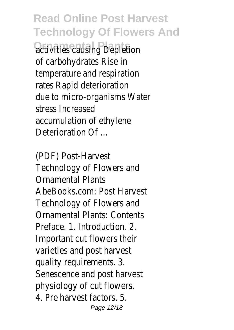**Read Online Post Harvest Technology Of Flowers And** *<u>Activities</u>* causing Depletion of carbohydrates Rise in temperature and respiration rates Rapid deterioration due to micro-organisms Water stress Increased accumulation of ethylene Deterioration Of ...

(PDF) Post-Harvest Technology of Flowers and Ornamental Plants AbeBooks.com: Post Harvest Technology of Flowers and Ornamental Plants: Contents Preface. 1. Introduction. 2. Important cut flowers their varieties and post harvest quality requirements. 3. Senescence and post harvest physiology of cut flowers. 4. Pre harvest factors. 5. Page 12/18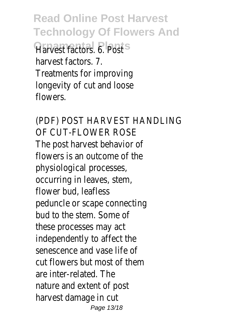**Read Online Post Harvest Technology Of Flowers And Darvest factors** 6. Post harvest factors. 7. Treatments for improving longevity of cut and loose flowers.

(PDF) POST HARVEST HANDLING OF CUT-FLOWER ROSE The post harvest behavior of flowers is an outcome of the physiological processes, occurring in leaves, stem, flower bud, leafless peduncle or scape connecting bud to the stem. Some of these processes may act independently to affect the senescence and vase life of cut flowers but most of them are inter-related. The nature and extent of post harvest damage in cut Page 13/18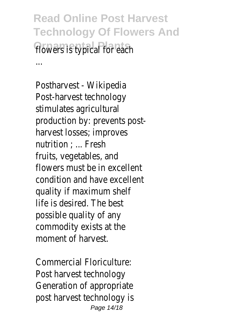**Read Online Post Harvest Technology Of Flowers And** flowers is typical for each ...

Postharvest - Wikipedia Post-harvest technology stimulates agricultural production by: prevents postharvest losses; improves nutrition ; ... Fresh fruits, vegetables, and flowers must be in excellent condition and have excellent quality if maximum shelf life is desired. The best possible quality of any commodity exists at the moment of harvest.

Commercial Floriculture: Post harvest technology Generation of appropriate post harvest technology is Page 14/18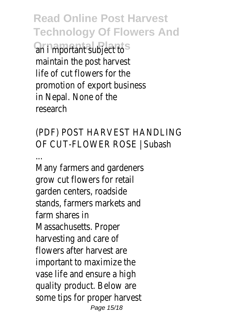**Read Online Post Harvest Technology Of Flowers And Ornamental Plants** an i mportant subject to maintain the post harvest life of cut flowers for the promotion of export business in Nepal. None of the research

(PDF) POST HARVEST HANDLING OF CUT-FLOWER ROSE | Subash

... Many farmers and gardeners grow cut flowers for retail garden centers, roadside stands, farmers markets and farm shares in Massachusetts. Proper harvesting and care of flowers after harvest are important to maximize the vase life and ensure a high quality product. Below are some tips for proper harvest Page 15/18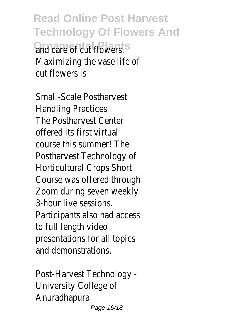**Read Online Post Harvest Technology Of Flowers And Ornamental Plants** and care of cut flowers. Maximizing the vase life of cut flowers is

Small-Scale Postharvest Handling Practices The Postharvest Center offered its first virtual course this summer! The Postharvest Technology of Horticultural Crops Short Course was offered through Zoom during seven weekly 3-hour live sessions. Participants also had access to full length video presentations for all topics and demonstrations.

Post-Harvest Technology - University College of Anuradhapura Page 16/18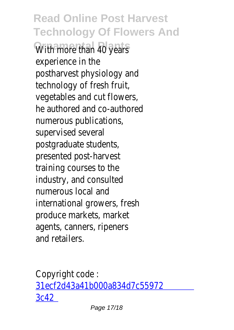**Read Online Post Harvest Technology Of Flowers And** With more than 40 years experience in the postharvest physiology and technology of fresh fruit, vegetables and cut flowers, he authored and co-authored numerous publications, supervised several postgraduate students, presented post-harvest training courses to the industry, and consulted numerous local and international growers, fresh produce markets, market agents, canners, ripeners and retailers.

Copyright code : [31ecf2d43a41b000a834d7c55972](/search-book/31ecf2d43a41b000a834d7c559723c42) [3c42](/search-book/31ecf2d43a41b000a834d7c559723c42)

Page 17/18